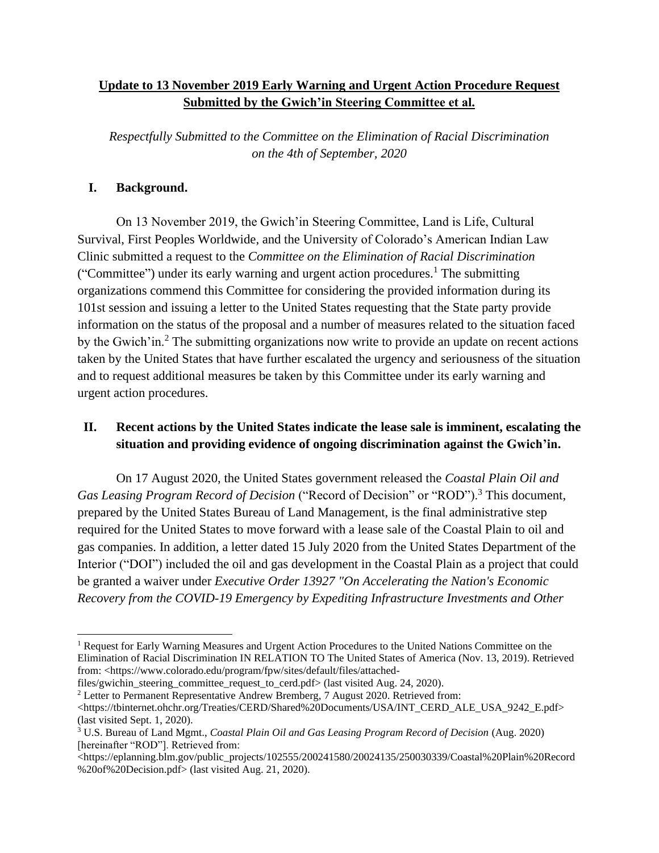## **Update to 13 November 2019 Early Warning and Urgent Action Procedure Request Submitted by the Gwich'in Steering Committee et al.**

*Respectfully Submitted to the Committee on the Elimination of Racial Discrimination on the 4th of September, 2020*

#### **I. Background.**

On 13 November 2019, the Gwich'in Steering Committee, Land is Life, Cultural Survival, First Peoples Worldwide, and the University of Colorado's American Indian Law Clinic submitted a request to the *Committee on the Elimination of Racial Discrimination* ("Committee") under its early warning and urgent action procedures.<sup>1</sup> The submitting organizations commend this Committee for considering the provided information during its 101st session and issuing a letter to the United States requesting that the State party provide information on the status of the proposal and a number of measures related to the situation faced by the Gwich'in.<sup>2</sup> The submitting organizations now write to provide an update on recent actions taken by the United States that have further escalated the urgency and seriousness of the situation and to request additional measures be taken by this Committee under its early warning and urgent action procedures.

# **II. Recent actions by the United States indicate the lease sale is imminent, escalating the situation and providing evidence of ongoing discrimination against the Gwich'in.**

On 17 August 2020, the United States government released the *Coastal Plain Oil and Gas Leasing Program Record of Decision* ("Record of Decision" or "ROD").<sup>3</sup> This document, prepared by the United States Bureau of Land Management, is the final administrative step required for the United States to move forward with a lease sale of the Coastal Plain to oil and gas companies. In addition, a letter dated 15 July 2020 from the United States Department of the Interior ("DOI") included the oil and gas development in the Coastal Plain as a project that could be granted a waiver under *Executive Order 13927 "On Accelerating the Nation's Economic Recovery from the COVID-19 Emergency by Expediting Infrastructure Investments and Other* 

files/gwichin steering committee request to cerd.pdf> (last visited Aug. 24, 2020).

<sup>&</sup>lt;sup>1</sup> Request for Early Warning Measures and Urgent Action Procedures to the United Nations Committee on the Elimination of Racial Discrimination IN RELATION TO The United States of America (Nov. 13, 2019). Retrieved from: <https://www.colorado.edu/program/fpw/sites/default/files/attached-

<sup>&</sup>lt;sup>2</sup> Letter to Permanent Representative Andrew Bremberg, 7 August 2020. Retrieved from: <https://tbinternet.ohchr.org/Treaties/CERD/Shared%20Documents/USA/INT\_CERD\_ALE\_USA\_9242\_E.pdf>

<sup>(</sup>last visited Sept. 1, 2020). <sup>3</sup> U.S. Bureau of Land Mgmt., *Coastal Plain Oil and Gas Leasing Program Record of Decision* (Aug. 2020) [hereinafter "ROD"]. Retrieved from:

<sup>&</sup>lt;https://eplanning.blm.gov/public\_projects/102555/200241580/20024135/250030339/Coastal%20Plain%20Record %20of%20Decision.pdf> (last visited Aug. 21, 2020).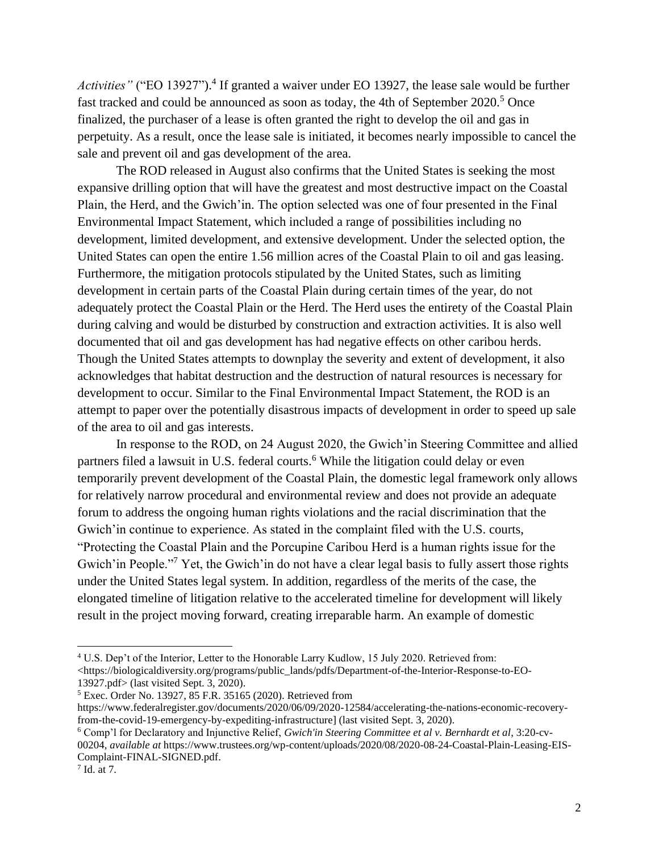Activities" ("EO 13927").<sup>4</sup> If granted a waiver under EO 13927, the lease sale would be further fast tracked and could be announced as soon as today, the 4th of September 2020.<sup>5</sup> Once finalized, the purchaser of a lease is often granted the right to develop the oil and gas in perpetuity. As a result, once the lease sale is initiated, it becomes nearly impossible to cancel the sale and prevent oil and gas development of the area.

The ROD released in August also confirms that the United States is seeking the most expansive drilling option that will have the greatest and most destructive impact on the Coastal Plain, the Herd, and the Gwich'in. The option selected was one of four presented in the Final Environmental Impact Statement, which included a range of possibilities including no development, limited development, and extensive development. Under the selected option, the United States can open the entire 1.56 million acres of the Coastal Plain to oil and gas leasing. Furthermore, the mitigation protocols stipulated by the United States, such as limiting development in certain parts of the Coastal Plain during certain times of the year, do not adequately protect the Coastal Plain or the Herd. The Herd uses the entirety of the Coastal Plain during calving and would be disturbed by construction and extraction activities. It is also well documented that oil and gas development has had negative effects on other caribou herds. Though the United States attempts to downplay the severity and extent of development, it also acknowledges that habitat destruction and the destruction of natural resources is necessary for development to occur. Similar to the Final Environmental Impact Statement, the ROD is an attempt to paper over the potentially disastrous impacts of development in order to speed up sale of the area to oil and gas interests.

In response to the ROD, on 24 August 2020, the Gwich'in Steering Committee and allied partners filed a lawsuit in U.S. federal courts.<sup>6</sup> While the litigation could delay or even temporarily prevent development of the Coastal Plain, the domestic legal framework only allows for relatively narrow procedural and environmental review and does not provide an adequate forum to address the ongoing human rights violations and the racial discrimination that the Gwich'in continue to experience. As stated in the complaint filed with the U.S. courts, "Protecting the Coastal Plain and the Porcupine Caribou Herd is a human rights issue for the Gwich'in People."<sup>7</sup> Yet, the Gwich'in do not have a clear legal basis to fully assert those rights under the United States legal system. In addition, regardless of the merits of the case, the elongated timeline of litigation relative to the accelerated timeline for development will likely result in the project moving forward, creating irreparable harm. An example of domestic

<sup>4</sup> U.S. Dep't of the Interior, Letter to the Honorable Larry Kudlow, 15 July 2020. Retrieved from: <https://biologicaldiversity.org/programs/public\_lands/pdfs/Department-of-the-Interior-Response-to-EO-13927.pdf> (last visited Sept. 3, 2020).

<sup>5</sup> Exec. Order No. 13927, 85 F.R. 35165 (2020). Retrieved from

[https://www.federalregister.gov/documents/2020/06/09/2020-12584/accelerating-the-nations-economic-recovery](https://www.federalregister.gov/documents/2020/06/09/2020-12584/accelerating-the-nations-economic-recovery-from-the-covid-19-emergency-by-expediting-infrastructure)[from-the-covid-19-emergency-by-expediting-infrastructure\]](https://www.federalregister.gov/documents/2020/06/09/2020-12584/accelerating-the-nations-economic-recovery-from-the-covid-19-emergency-by-expediting-infrastructure) (last visited Sept. 3, 2020).

<sup>6</sup> Comp'l for Declaratory and Injunctive Relief, *Gwich'in Steering Committee et al v. Bernhardt et al*, 3:20-cv-00204, *available at* [https://www.trustees.org/wp-content/uploads/2020/08/2020-08-24-Coastal-Plain-Leasing-EIS-](https://www.trustees.org/wp-content/uploads/2020/08/2020-08-24-Coastal-Plain-Leasing-EIS-Complaint-FINAL-SIGNED.pdf)[Complaint-FINAL-SIGNED.pdf.](https://www.trustees.org/wp-content/uploads/2020/08/2020-08-24-Coastal-Plain-Leasing-EIS-Complaint-FINAL-SIGNED.pdf)

<sup>7</sup> Id. at 7.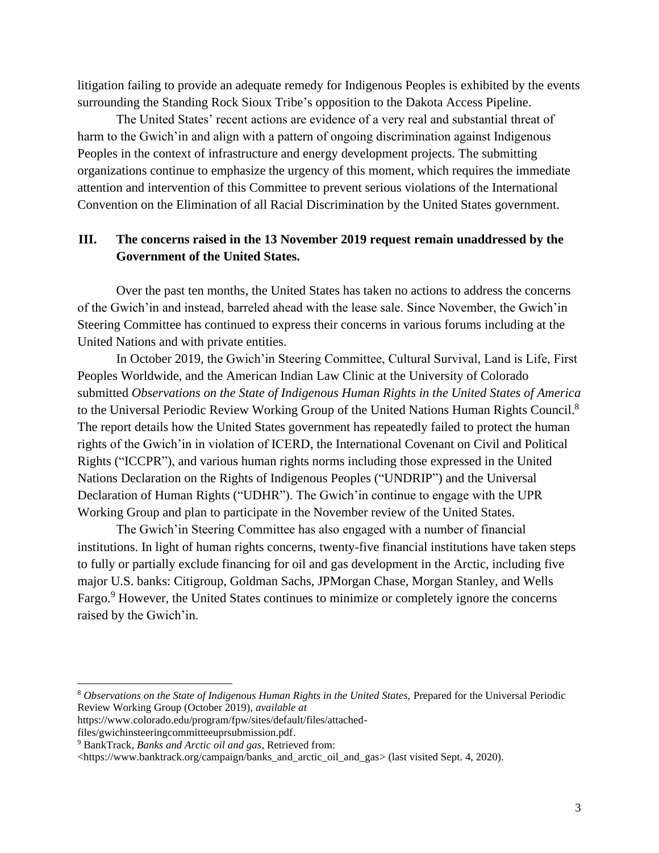litigation failing to provide an adequate remedy for Indigenous Peoples is exhibited by the events surrounding the Standing Rock Sioux Tribe's opposition to the Dakota Access Pipeline.

The United States' recent actions are evidence of a very real and substantial threat of harm to the Gwich'in and align with a pattern of ongoing discrimination against Indigenous Peoples in the context of infrastructure and energy development projects. The submitting organizations continue to emphasize the urgency of this moment, which requires the immediate attention and intervention of this Committee to prevent serious violations of the International Convention on the Elimination of all Racial Discrimination by the United States government.

#### **III. The concerns raised in the 13 November 2019 request remain unaddressed by the Government of the United States.**

Over the past ten months, the United States has taken no actions to address the concerns of the Gwich'in and instead, barreled ahead with the lease sale. Since November, the Gwich'in Steering Committee has continued to express their concerns in various forums including at the United Nations and with private entities.

In October 2019, the Gwich'in Steering Committee, Cultural Survival, Land is Life, First Peoples Worldwide, and the American Indian Law Clinic at the University of Colorado submitted *[Observations on the State of Indigenous Human Rights in the United States of America](https://www.colorado.edu/program/fpw/sites/default/files/attached-files/gwichinsteeringcommitteeuprsubmission.pdf)* to the Universal Periodic Review Working Group of the United Nations Human Rights Council.<sup>8</sup> The report details how the United States government has repeatedly failed to protect the human rights of the Gwich'in in violation of ICERD, the International Covenant on Civil and Political Rights ("ICCPR"), and various human rights norms including those expressed in the United Nations Declaration on the Rights of Indigenous Peoples ("UNDRIP") and the Universal Declaration of Human Rights ("UDHR"). The Gwich'in continue to engage with the UPR Working Group and plan to participate in the November review of the United States.

The Gwich'in Steering Committee has also engaged with a number of financial institutions. In light of human rights concerns, twenty-five financial institutions have taken steps to fully or partially exclude financing for oil and gas development in the Arctic, including five major U.S. banks: Citigroup, Goldman Sachs, JPMorgan Chase, Morgan Stanley, and Wells Fargo.<sup>9</sup> However, the United States continues to minimize or completely ignore the concerns raised by the Gwich'in.

<sup>8</sup> *Observations on the State of Indigenous Human Rights in the United States,* Prepared for the Universal Periodic Review Working Group (October 2019), *available at* 

[https://www.colorado.edu/program/fpw/sites/default/files/attached-](https://www.colorado.edu/program/fpw/sites/default/files/attached-files/gwichinsteeringcommitteeuprsubmission.pdf)

[files/gwichinsteeringcommitteeuprsubmission.pdf.](https://www.colorado.edu/program/fpw/sites/default/files/attached-files/gwichinsteeringcommitteeuprsubmission.pdf)

<sup>9</sup> BankTrack, *Banks and Arctic oil and gas*, Retrieved from:

[<sup>&</sup>lt;https://www.banktrack.org/campaign/banks\\_and\\_arctic\\_oil\\_and\\_gas>](https://www.banktrack.org/campaign/banks_and_arctic_oil_and_gas) (last visited Sept. 4, 2020).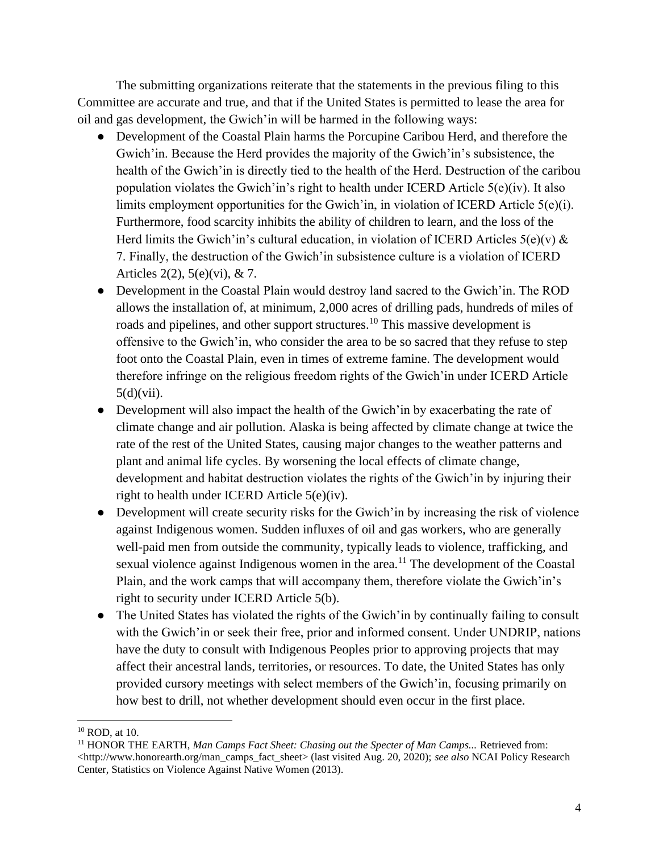The submitting organizations reiterate that the statements in the previous filing to this Committee are accurate and true, and that if the United States is permitted to lease the area for oil and gas development, the Gwich'in will be harmed in the following ways:

- Development of the Coastal Plain harms the Porcupine Caribou Herd, and therefore the Gwich'in. Because the Herd provides the majority of the Gwich'in's subsistence, the health of the Gwich'in is directly tied to the health of the Herd. Destruction of the caribou population violates the Gwich'in's right to health under ICERD Article 5(e)(iv). It also limits employment opportunities for the Gwich'in, in violation of ICERD Article 5(e)(i). Furthermore, food scarcity inhibits the ability of children to learn, and the loss of the Herd limits the Gwich'in's cultural education, in violation of ICERD Articles  $5(e)(v)$  & 7. Finally, the destruction of the Gwich'in subsistence culture is a violation of ICERD Articles 2(2), 5(e)(vi), & 7.
- Development in the Coastal Plain would destroy land sacred to the Gwich'in. The ROD allows the installation of, at minimum, 2,000 acres of drilling pads, hundreds of miles of roads and pipelines, and other support structures.<sup>10</sup> This massive development is offensive to the Gwich'in, who consider the area to be so sacred that they refuse to step foot onto the Coastal Plain, even in times of extreme famine. The development would therefore infringe on the religious freedom rights of the Gwich'in under ICERD Article  $5(d)(vii)$ .
- Development will also impact the health of the Gwich' in by exacerbating the rate of climate change and air pollution. Alaska is being affected by climate change at twice the rate of the rest of the United States, causing major changes to the weather patterns and plant and animal life cycles. By worsening the local effects of climate change, development and habitat destruction violates the rights of the Gwich'in by injuring their right to health under ICERD Article 5(e)(iv).
- Development will create security risks for the Gwich' in by increasing the risk of violence against Indigenous women. Sudden influxes of oil and gas workers, who are generally well-paid men from outside the community, typically leads to violence, trafficking, and sexual violence against Indigenous women in the area.<sup>11</sup> The development of the Coastal Plain, and the work camps that will accompany them, therefore violate the Gwich'in's right to security under ICERD Article 5(b).
- The United States has violated the rights of the Gwich' in by continually failing to consult with the Gwich'in or seek their free, prior and informed consent. Under UNDRIP, nations have the duty to consult with Indigenous Peoples prior to approving projects that may affect their ancestral lands, territories, or resources. To date, the United States has only provided cursory meetings with select members of the Gwich'in, focusing primarily on how best to drill, not whether development should even occur in the first place.

 $10$  ROD, at 10.

<sup>&</sup>lt;sup>11</sup> HONOR THE EARTH, *Man Camps Fact Sheet: Chasing out the Specter of Man Camps... Retrieved from:* <http://www.honorearth.org/man\_camps\_fact\_sheet> (last visited Aug. 20, 2020); *see also* NCAI Policy Research Center, Statistics on Violence Against Native Women (2013).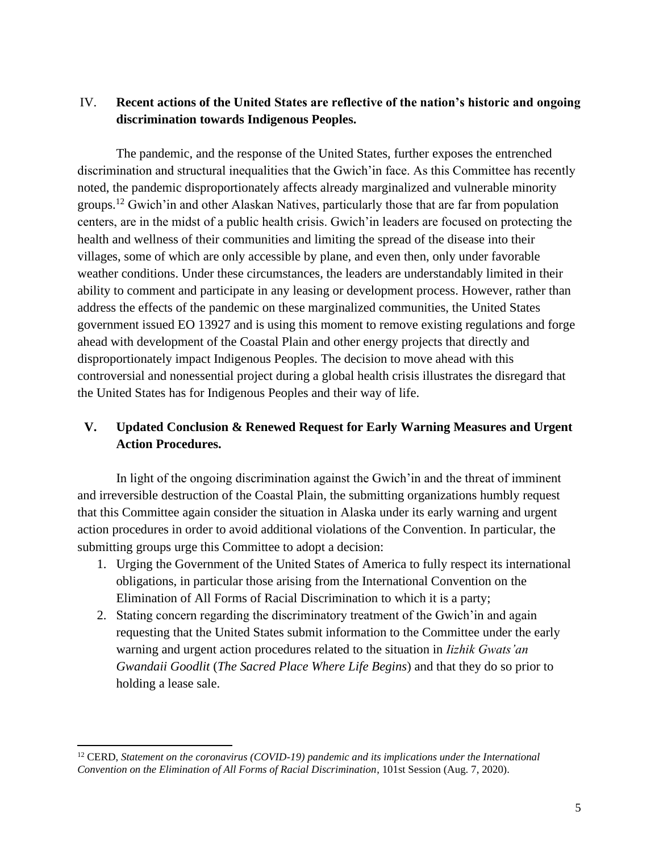#### IV. **Recent actions of the United States are reflective of the nation's historic and ongoing discrimination towards Indigenous Peoples.**

The pandemic, and the response of the United States, further exposes the entrenched discrimination and structural inequalities that the Gwich'in face. As this Committee has recently noted, the pandemic disproportionately affects already marginalized and vulnerable minority groups.<sup>12</sup> Gwich'in and other Alaskan Natives, particularly those that are far from population centers, are in the midst of a public health crisis. Gwich'in leaders are focused on protecting the health and wellness of their communities and limiting the spread of the disease into their villages, some of which are only accessible by plane, and even then, only under favorable weather conditions. Under these circumstances, the leaders are understandably limited in their ability to comment and participate in any leasing or development process. However, rather than address the effects of the pandemic on these marginalized communities, the United States government issued EO 13927 and is using this moment to remove existing regulations and forge ahead with development of the Coastal Plain and other energy projects that directly and disproportionately impact Indigenous Peoples. The decision to move ahead with this controversial and nonessential project during a global health crisis illustrates the disregard that the United States has for Indigenous Peoples and their way of life.

## **V. Updated Conclusion & Renewed Request for Early Warning Measures and Urgent Action Procedures.**

In light of the ongoing discrimination against the Gwich'in and the threat of imminent and irreversible destruction of the Coastal Plain, the submitting organizations humbly request that this Committee again consider the situation in Alaska under its early warning and urgent action procedures in order to avoid additional violations of the Convention. In particular, the submitting groups urge this Committee to adopt a decision:

- 1. Urging the Government of the United States of America to fully respect its international obligations, in particular those arising from the International Convention on the Elimination of All Forms of Racial Discrimination to which it is a party;
- 2. Stating concern regarding the discriminatory treatment of the Gwich'in and again requesting that the United States submit information to the Committee under the early warning and urgent action procedures related to the situation in *Iizhik Gwats'an Gwandaii Goodlit* (*The Sacred Place Where Life Begins*) and that they do so prior to holding a lease sale.

<sup>12</sup> CERD, *Statement on the coronavirus (COVID-19) pandemic and its implications under the International Convention on the Elimination of All Forms of Racial Discrimination*, 101st Session (Aug. 7, 2020).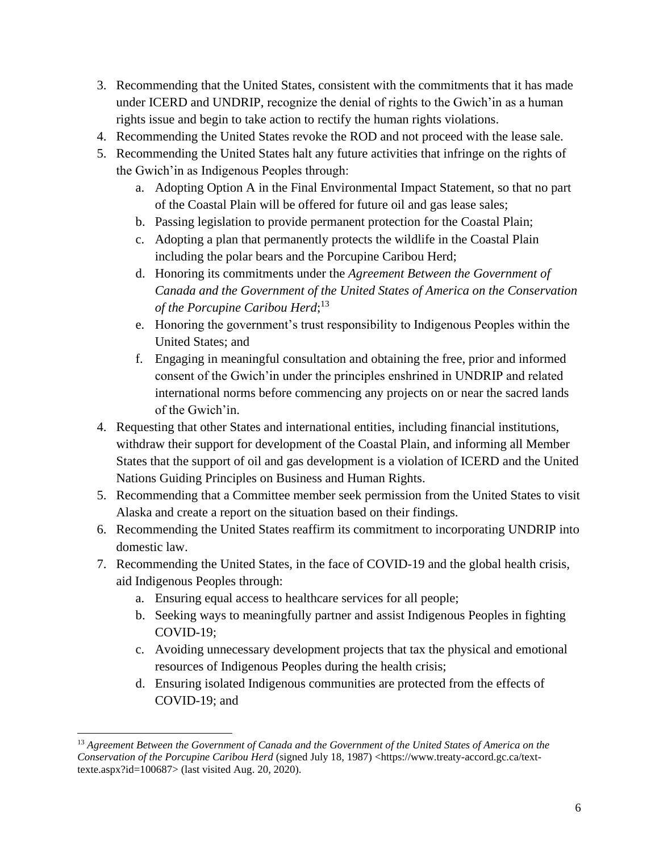- 3. Recommending that the United States, consistent with the commitments that it has made under ICERD and UNDRIP, recognize the denial of rights to the Gwich'in as a human rights issue and begin to take action to rectify the human rights violations.
- 4. Recommending the United States revoke the ROD and not proceed with the lease sale.
- 5. Recommending the United States halt any future activities that infringe on the rights of the Gwich'in as Indigenous Peoples through:
	- a. Adopting Option A in the Final Environmental Impact Statement, so that no part of the Coastal Plain will be offered for future oil and gas lease sales;
	- b. Passing legislation to provide permanent protection for the Coastal Plain;
	- c. Adopting a plan that permanently protects the wildlife in the Coastal Plain including the polar bears and the Porcupine Caribou Herd;
	- d. Honoring its commitments under the *Agreement Between the Government of Canada and the Government of the United States of America on the Conservation of the Porcupine Caribou Herd*; 13
	- e. Honoring the government's trust responsibility to Indigenous Peoples within the United States; and
	- f. Engaging in meaningful consultation and obtaining the free, prior and informed consent of the Gwich'in under the principles enshrined in UNDRIP and related international norms before commencing any projects on or near the sacred lands of the Gwich'in.
- 4. Requesting that other States and international entities, including financial institutions, withdraw their support for development of the Coastal Plain, and informing all Member States that the support of oil and gas development is a violation of ICERD and the United Nations Guiding Principles on Business and Human Rights.
- 5. Recommending that a Committee member seek permission from the United States to visit Alaska and create a report on the situation based on their findings.
- 6. Recommending the United States reaffirm its commitment to incorporating UNDRIP into domestic law.
- 7. Recommending the United States, in the face of COVID-19 and the global health crisis, aid Indigenous Peoples through:
	- a. Ensuring equal access to healthcare services for all people;
	- b. Seeking ways to meaningfully partner and assist Indigenous Peoples in fighting COVID-19;
	- c. Avoiding unnecessary development projects that tax the physical and emotional resources of Indigenous Peoples during the health crisis;
	- d. Ensuring isolated Indigenous communities are protected from the effects of COVID-19; and

<sup>13</sup> *Agreement Between the Government of Canada and the Government of the United States of America on the Conservation of the Porcupine Caribou Herd* (signed July 18, 1987) [<https://www.treaty-accord.gc.ca/text](https://www.treaty-accord.gc.ca/text-texte.aspx?id=100687)[texte.aspx?id=100687>](https://www.treaty-accord.gc.ca/text-texte.aspx?id=100687) (last visited Aug. 20, 2020).